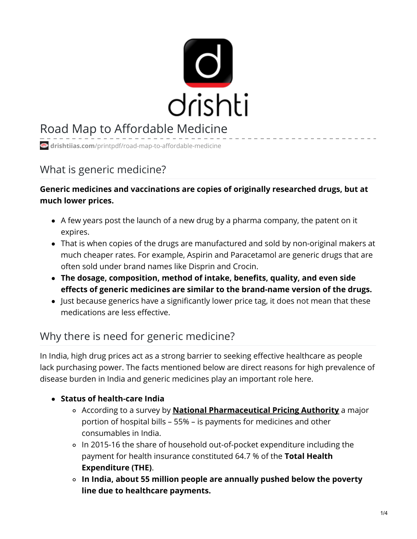

# Road Map to Affordable Medicine

**drishtiias.com**[/printpdf/road-map-to-affordable-medicine](https://www.drishtiias.com/printpdf/road-map-to-affordable-medicine)

# What is generic medicine?

### **Generic medicines and vaccinations are copies of originally researched drugs, but at much lower prices.**

- A few years post the launch of a new drug by a pharma company, the patent on it expires.
- That is when copies of the drugs are manufactured and sold by non-original makers at much cheaper rates. For example, Aspirin and Paracetamol are generic drugs that are often sold under brand names like Disprin and Crocin.
- **The dosage, composition, method of intake, benefits, quality, and even side effects of generic medicines are similar to the brand-name version of the drugs.**
- Just because generics have a significantly lower price tag, it does not mean that these medications are less effective.

# Why there is need for generic medicine?

In India, high drug prices act as a strong barrier to seeking effective healthcare as people lack purchasing power. The facts mentioned below are direct reasons for high prevalence of disease burden in India and generic medicines play an important role here.

### **Status of health-care India**

- According to a survey by **National [Pharmaceutical](https://www.drishtiias.com/daily-updates/daily-news-analysis/kerala-sets-up-drug-price-monitor) Pricing Authority** a major portion of hospital bills – 55% – is payments for medicines and other consumables in India.
- In 2015-16 the share of household out-of-pocket expenditure including the payment for health insurance constituted 64.7 % of the **Total Health Expenditure (THE)**.
- **In India, about 55 million people are annually pushed below the poverty line due to healthcare payments.**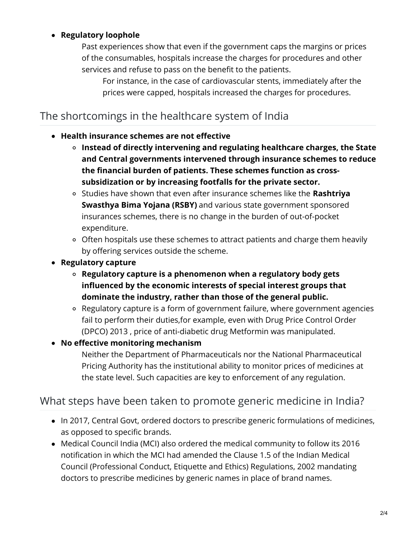#### **Regulatory loophole**

Past experiences show that even if the government caps the margins or prices of the consumables, hospitals increase the charges for procedures and other services and refuse to pass on the benefit to the patients.

For instance, in the case of cardiovascular stents, immediately after the prices were capped, hospitals increased the charges for procedures.

## The shortcomings in the healthcare system of India

#### **Health insurance schemes are not effective**

- **Instead of directly intervening and regulating healthcare charges, the State and Central governments intervened through insurance schemes to reduce the financial burden of patients. These schemes function as crosssubsidization or by increasing footfalls for the private sector.**
- Studies have shown that even after insurance schemes like the **Rashtriya Swasthya Bima Yojana (RSBY)** and various state government sponsored insurances schemes, there is no change in the burden of out-of-pocket expenditure.
- Often hospitals use these schemes to attract patients and charge them heavily by offering services outside the scheme.
- **Regulatory capture**
	- **Regulatory capture is a phenomenon when a regulatory body gets influenced by the economic interests of special interest groups that dominate the industry, rather than those of the general public.**
	- Regulatory capture is a form of government failure, where government agencies fail to perform their duties,for example, even with Drug Price Control Order (DPCO) 2013 , price of anti-diabetic drug Metformin was manipulated.

#### **No effective monitoring mechanism**

Neither the Department of Pharmaceuticals nor the National Pharmaceutical Pricing Authority has the institutional ability to monitor prices of medicines at the state level. Such capacities are key to enforcement of any regulation.

### What steps have been taken to promote generic medicine in India?

- In 2017, Central Govt, ordered doctors to prescribe generic formulations of medicines, as opposed to specific brands.
- Medical Council India (MCI) also ordered the medical community to follow its 2016 notification in which the MCI had amended the Clause 1.5 of the Indian Medical Council (Professional Conduct, Etiquette and Ethics) Regulations, 2002 mandating doctors to prescribe medicines by generic names in place of brand names.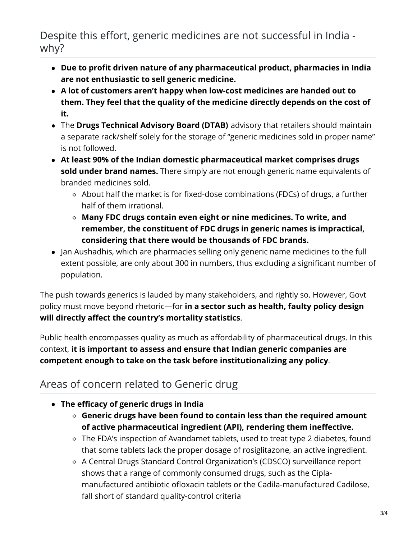Despite this effort, generic medicines are not successful in India why?

- **Due to profit driven nature of any pharmaceutical product, pharmacies in India are not enthusiastic to sell generic medicine.**
- **A lot of customers aren't happy when low-cost medicines are handed out to them. They feel that the quality of the medicine directly depends on the cost of it.**
- The **Drugs Technical Advisory Board (DTAB)** advisory that retailers should maintain a separate rack/shelf solely for the storage of "generic medicines sold in proper name" is not followed.
- **At least 90% of the Indian domestic pharmaceutical market comprises drugs sold under brand names.** There simply are not enough generic name equivalents of branded medicines sold.
	- About half the market is for fixed-dose combinations (FDCs) of drugs, a further half of them irrational.
	- **Many FDC drugs contain even eight or nine medicines. To write, and remember, the constituent of FDC drugs in generic names is impractical, considering that there would be thousands of FDC brands.**
- Jan Aushadhis, which are pharmacies selling only generic name medicines to the full extent possible, are only about 300 in numbers, thus excluding a significant number of population.

The push towards generics is lauded by many stakeholders, and rightly so. However, Govt policy must move beyond rhetoric—for **in a sector such as health, faulty policy design will directly affect the country's mortality statistics**.

Public health encompasses quality as much as affordability of pharmaceutical drugs. In this context, **it is important to assess and ensure that Indian generic companies are competent enough to take on the task before institutionalizing any policy**.

# Areas of concern related to Generic drug

- **The efficacy of generic drugs in India**
	- **Generic drugs have been found to contain less than the required amount of active pharmaceutical ingredient (API), rendering them ineffective.**
	- The FDA's inspection of Avandamet tablets, used to treat type 2 diabetes, found that some tablets lack the proper dosage of rosiglitazone, an active ingredient.
	- A Central Drugs Standard Control Organization's (CDSCO) surveillance report shows that a range of commonly consumed drugs, such as the Ciplamanufactured antibiotic ofloxacin tablets or the Cadila-manufactured Cadilose, fall short of standard quality-control criteria